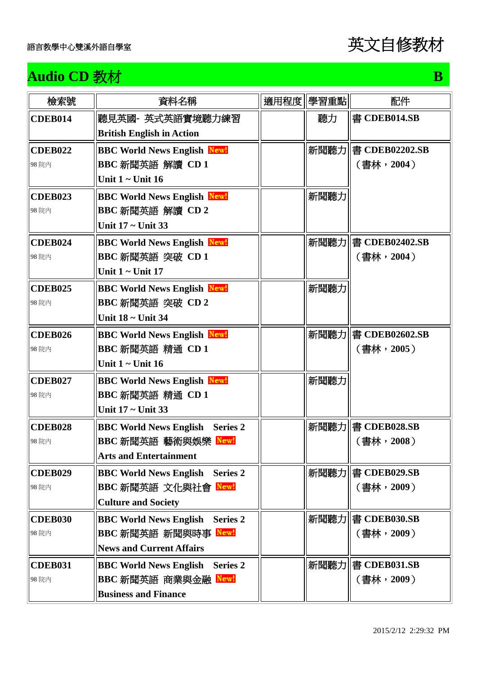

## **Audio CD** 教材 B **B**

| 檢索號                     | 資料名稱                                                                                                       | 適用程度 學習重點 | 配件                                                 |
|-------------------------|------------------------------------------------------------------------------------------------------------|-----------|----------------------------------------------------|
| <b>CDEB014</b>          | 聽見英國 英式英語實境聽力練習<br><b>British English in Action</b>                                                        | 聽力        | 書 CDEB014.SB                                       |
| <b>CDEB022</b><br>98 院内 | <b>BBC World News English New!</b><br>BBC 新聞英語 解讀 CD 1<br>Unit $1 -$ Unit $16$                             |           | 新聞聽力   書 CDEB02202.SB<br>(書林,2004)                 |
| <b>CDEB023</b><br>98 院内 | <b>BBC World News English New!</b><br>BBC 新聞英語 解讀 CD 2<br>Unit 17 ~ Unit 33                                | 新聞聽力      |                                                    |
| <b>CDEB024</b><br>98 院内 | <b>BBC World News English New!</b><br>BBC 新聞英語 突破 CD 1<br>Unit $1 -$ Unit 17                               |           | 新聞聽力   書 CDEB02402.SB<br>(書林,2004)                 |
| <b>CDEB025</b><br>98 院内 | <b>BBC World News English New!</b><br>BBC 新聞英語 突破 CD 2<br>Unit 18 ~ Unit 34                                | 新聞聽力      |                                                    |
| <b>CDEB026</b><br>98 院内 | <b>BBC World News English New!</b><br>BBC 新聞英語 精通 CD 1<br>Unit $1$ ~ Unit 16                               | 新聞聽力      | 書 CDEB02602.SB<br>(書林,2005)                        |
| <b>CDEB027</b><br>98 院内 | <b>BBC World News English New!</b><br>BBC 新聞英語 精通 CD 1<br>Unit 17 ~ Unit 33                                | 新聞聽力      |                                                    |
| <b>CDEB028</b><br>98 院内 | <b>BBC World News English</b><br><b>Series 2</b><br>BBC 新聞英語 藝術與娛樂 New!<br><b>Arts and Entertainment</b>   |           | 新聞聽力  書 CDEB028.SB<br>$(\frac{1}{2}, \frac{1}{2})$ |
| <b>CDEB029</b><br>98 院内 | <b>BBC World News English Series 2</b><br>BBC 新聞英語 文化與社會 New!<br><b>Culture and Society</b>                |           | 新聞聽力  書 CDEB029.SB<br>(書林, 2009)                   |
| <b>CDEB030</b><br>98 院内 | <b>BBC World News English</b><br><b>Series 2</b><br>BBC 新聞英語 新聞與時事 New!<br><b>News and Current Affairs</b> |           | 新聞聽力  書 CDEB030.SB<br>(書林,2009)                    |
| <b>CDEB031</b><br>98 院内 | <b>BBC World News English</b><br><b>Series 2</b><br>BBC 新聞英語 商業與金融 Newl<br><b>Business and Finance</b>     |           | 新聞聽力   書 CDEB031.SB<br>(書林, 2009)                  |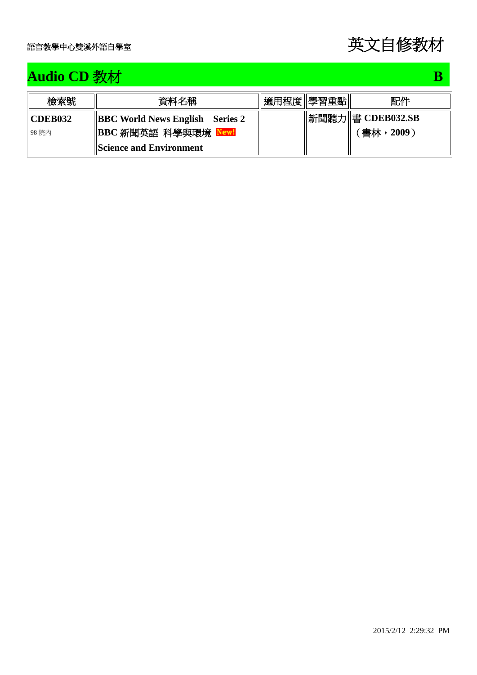| 檢索號            | 資料名稱                                        | 適用程度  學習重點 | 配件           |
|----------------|---------------------------------------------|------------|--------------|
| <b>CDEB032</b> | $\parallel$ BBC World News English Series 2 | 新聞聽力       | 書 CDEB032.SB |
| 98 院内          | BBC 新聞英語 科學與環境 New!                         |            | 〔書林,2009 〕   |
|                | <b>Science and Environment</b>              |            |              |

## **Audio CD** 教材 B **B**

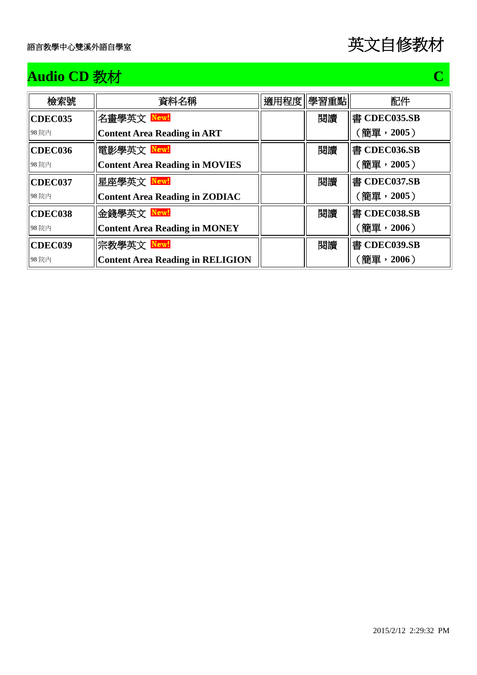## **Audio CD** 教材 C **C**

| 檢索號     | 資料名稱                                    | 適用程度  學習重點 | 配件           |
|---------|-----------------------------------------|------------|--------------|
| CDEC035 | 名畫學英文 <mark>New!</mark>                 | 閲讀         | 書 CDEC035.SB |
| 98 院内   | <b>Content Area Reading in ART</b>      |            | (簡單,2005)    |
| CDEC036 | 電影學英文 New!                              | 閲讀         | 書 CDEC036.SB |
| 98 院内   | <b>Content Area Reading in MOVIES</b>   |            | (簡單,2005)    |
| CDEC037 | 星座學英文 New!                              | 閲讀         | 書 CDEC037.SB |
| 98 院内   | <b>Content Area Reading in ZODIAC</b>   |            | (簡單,2005)    |
| CDEC038 | 金錢學英文 New!                              | 閲讀         | 書 CDEC038.SB |
| 98 院内   | <b>Content Area Reading in MONEY</b>    |            | (簡單,2006)    |
| CDEC039 | 宗教學英文 New!                              | 閲讀         | 書 CDEC039.SB |
| 98 院内   | <b>Content Area Reading in RELIGION</b> |            | (簡單,2006)    |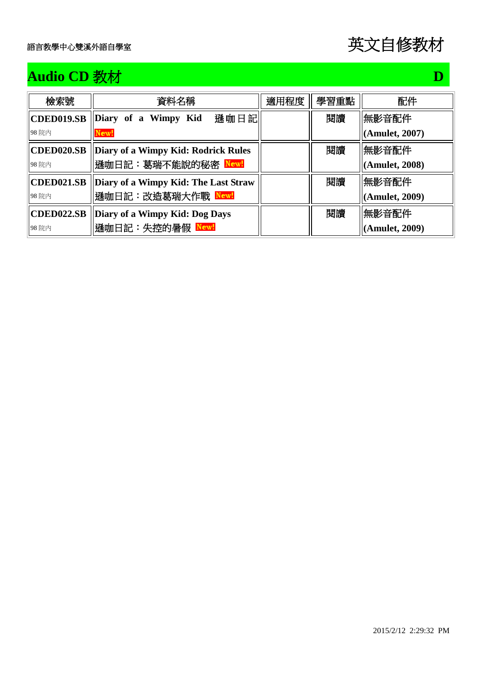## **Audio CD** 教材 D

| 檢索號               | 資料名稱                                 | 適用程度 | 學習重點 | 配件             |
|-------------------|--------------------------------------|------|------|----------------|
| <b>CDED019.SB</b> | 遜咖日記<br>Diary of a Wimpy Kid         |      | 閲讀   | 無影音配件          |
| 98 院内             | New!                                 |      |      | (Amulet, 2007) |
| <b>CDED020.SB</b> | Diary of a Wimpy Kid: Rodrick Rules  |      | 閱讀   | 無影音配件          |
| 98 院内             | 遜咖日記:葛瑞不能說的秘密 New!                   |      |      | (Amulet, 2008) |
| <b>CDED021.SB</b> | Diary of a Wimpy Kid: The Last Straw |      | 閲讀   | 無影音配件          |
| 98 院内             | 遜咖日記:改造葛瑞大作戰 New!                    |      |      | (Amulet, 2009) |
| <b>CDED022.SB</b> | Diary of a Wimpy Kid: Dog Days       |      | 閱讀   | 無影音配件          |
| 98 院内             | 遜咖日記:失控的暑假 New!                      |      |      | (Amulet, 2009) |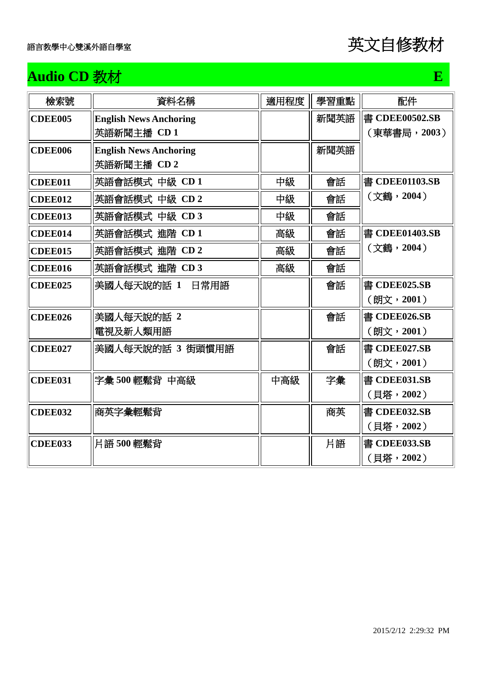

## **Audio CD** 教材 **E**

| 檢索號            | 資料名稱                                         | 適用程度 | 學習重點 | 配件                             |
|----------------|----------------------------------------------|------|------|--------------------------------|
| <b>CDEE005</b> | <b>English News Anchoring</b><br>英語新聞主播 CD 1 |      | 新聞英語 | 書 CDEE00502.SB<br>(東華書局, 2003) |
| <b>CDEE006</b> | <b>English News Anchoring</b><br>英語新聞主播 CD 2 |      | 新聞英語 |                                |
| CDEE011        | 英語會話模式 中級 CD 1                               | 中級   | 會話   | 書 CDEE01103.SB                 |
| CDEE012        | 英語會話模式 中級 CD 2                               | 中級   | 會話   | (文鶴,2004)                      |
| CDEE013        | 英語會話模式 中級 CD 3                               | 中級   | 會話   |                                |
| CDEE014        | 英語會話模式 進階 CD 1                               | 高級   | 會話   | 書 CDEE01403.SB                 |
| <b>CDEE015</b> | 英語會話模式 進階 CD 2                               | 高級   | 會話   | (文鶴,2004)                      |
| CDEE016        | 英語會話模式 進階 CD 3                               | 高級   | 會話   |                                |
| <b>CDEE025</b> | 美國人每天說的話 1 日常用語                              |      | 會話   | 書 CDEE025.SB<br>(朗文,2001)      |
| <b>CDEE026</b> | 美國人每天說的話 2<br>電視及新人類用語                       |      | 會話   | 書 CDEE026.SB<br>(朗文,2001)      |
| CDEE027        | 美國人每天說的話 3 街頭慣用語                             |      | 會話   | 書 CDEE027.SB<br>(朗文,2001)      |
| CDEE031        | 字彙 500 輕鬆背 中高級                               | 中高級  | 字彙   | 書 CDEE031.SB<br>(貝塔,2002)      |
| <b>CDEE032</b> | 商英字彙輕鬆背                                      |      | 商英   | 書 CDEE032.SB<br>(貝塔,2002)      |
| <b>CDEE033</b> | 片語 500 輕鬆背                                   |      | 片語   | 書 CDEE033.SB<br>(貝塔, 2002)     |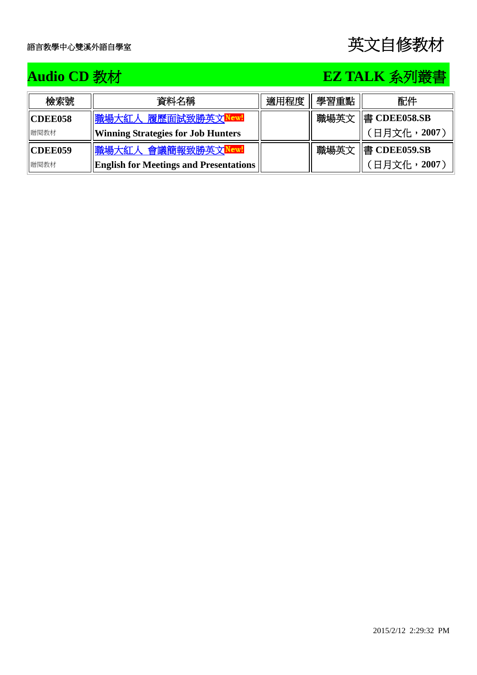## **Audio CD** 教材 **EZ TALK** 系列叢書

| 檢索號            | 資料名稱                                          | 適用程度 | 學習重點 | 配件           |
|----------------|-----------------------------------------------|------|------|--------------|
| <b>CDEE058</b> | 職場大紅人 履歷面試致勝英文 <mark>New!</mark>              |      | 職場英文 | 書 CDEE058.SB |
| 贈閱教材           | <b>Winning Strategies for Job Hunters</b>     |      |      | 「日月文化, 2007」 |
| <b>CDEE059</b> | 職場大紅人 會議簡報致勝英文 <mark>New!</mark>              |      | 職場英文 | 書 CDEE059.SB |
| 贈閱教材           | <b>English for Meetings and Presentations</b> |      |      | 日月文化,2007〕   |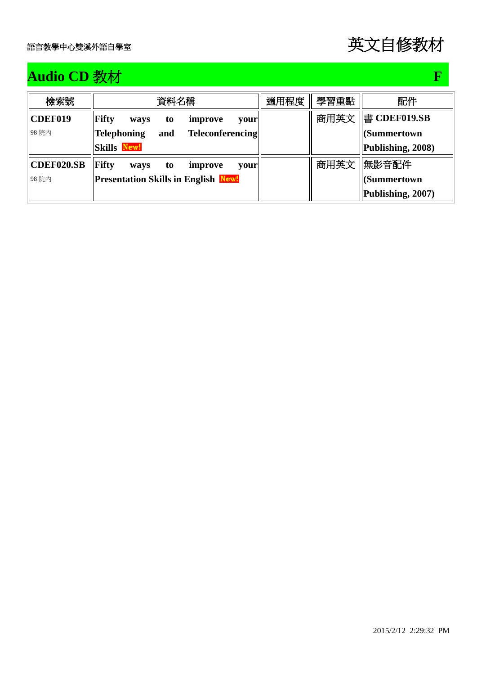## **Audio CD** 教材 **F F**

| 檢索號        | 資料名稱                                                 | 適用程度 | 學習重點 | 配件                       |
|------------|------------------------------------------------------|------|------|--------------------------|
| CDEF019    | <b>Fifty</b><br>improve<br>ways<br>your<br>to        |      | 商用英文 | $\parallel$ 書 CDEF019.SB |
| 98 院内      | <b>Telephoning</b><br><b>Teleconferencing</b><br>and |      |      | <b>(Summertown</b>       |
|            | <b>Skills New!</b>                                   |      |      | Publishing, 2008)        |
| CDEF020.SB | <b>Fifty</b><br>improve<br>ways<br>to<br>vour        |      | 商用英文 | 無影音配件                    |
| 98 院内      | <b>Presentation Skills in English New!</b>           |      |      | <b>(Summertown</b>       |
|            |                                                      |      |      | Publishing, 2007)        |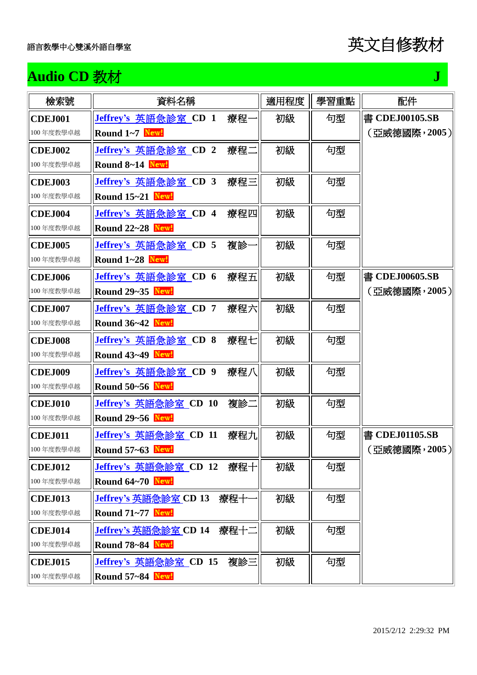| <b>Audio CD 教材</b> |                                     |      |      | J              |
|--------------------|-------------------------------------|------|------|----------------|
| 檢索號                | 資料名稱                                | 適用程度 | 學習重點 | 配件             |
| <b>CDEJ001</b>     | Jeffrey's 英語急診室 CD 1<br>療程-         | 初級   | 句型   | 書 CDEJ00105.SB |
| 100年度教學卓越          | Round 1~7 New!                      |      |      | (亞威德國際,2005)   |
| <b>CDEJ002</b>     | 療程二<br>Jeffrey's 英語急診室 CD 2         | 初級   | 句型   |                |
| 100年度教學卓越          | Round 8~14 New!                     |      |      |                |
| <b>CDEJ003</b>     | Jeffrey's 英語急診室 CD 3<br>療程三         | 初級   | 句型   |                |
| 100年度教學卓越          | Round 15~21 New!                    |      |      |                |
| <b>CDEJ004</b>     | Jeffrey's 英語急診室 CD 4<br>療程四         | 初級   | 句型   |                |
| 100年度教學卓越          | <b>Round 22~28 New!</b>             |      |      |                |
| <b>CDEJ005</b>     | <u>Jeffrey's 英語急診室</u> CD 5<br>複診   | 初級   | 句型   |                |
| 100年度教學卓越          | Round 1~28 New!                     |      |      |                |
| <b>CDEJ006</b>     | Jeffrey's 英語急診室 CD 6<br>療程五         | 初級   | 句型   | 書 CDEJ00605.SB |
| 100年度教學卓越          | Round 29~35 New!                    |      |      | (亞威德國際,2005)   |
| <b>CDEJ007</b>     | Jeffrey's 英語急診室 CD 7<br>療程六         | 初級   | 句型   |                |
| 100年度教學卓越          | <b>Round 36~42 New!</b>             |      |      |                |
| <b>CDEJ008</b>     | Jeffrey's 英語急診室 CD 8<br>療程七         | 初級   | 句型   |                |
| 100年度教學卓越          | Round 43~49 New!                    |      |      |                |
| <b>CDEJ009</b>     | Jeffrey's 英語急診室 CD 9<br>療程八         | 初級   | 句型   |                |
| 100年度教學卓越          | Round 50~56 New!                    |      |      |                |
| <b>CDEJ010</b>     | Jeffrey's 英語急診室 CD 10<br>複診二        | 初級   | 句型   |                |
| 100年度教學卓越          | Round 29~56 New!                    |      |      |                |
| <b>CDEJ011</b>     | <u>Jeffrey's 英語急診室</u> CD 11<br>療程九 | 初級   | 句型   | 書 CDEJ01105.SB |
| 100年度教學卓越          | <b>Round 57~63 New!</b>             |      |      | (亞威德國際,2005)   |
| <b>CDEJ012</b>     | Jeffrey's 英語急診室 CD 12<br>療程十        | 初級   | 句型   |                |
| 100年度教學卓越          | Round 64~70 New!                    |      |      |                |
| <b>CDEJ013</b>     | <b>Jeffrey's 英語急診室 CD 13</b><br>療程十 | 初級   | 句型   |                |
| 100年度教學卓越          | Round 71~77 New!                    |      |      |                |
| <b>CDEJ014</b>     | Jeffrey's 英語急診室 CD 14<br>療程十二       | 初級   | 句型   |                |
| 100年度教學卓越          | Round 78~84 New!                    |      |      |                |
| <b>CDEJ015</b>     | Jeffrey's 英語急診室 CD 15<br>複診三        | 初級   | 句型   |                |
| 100年度教學卓越          | <b>Round 57~84 New!</b>             |      |      |                |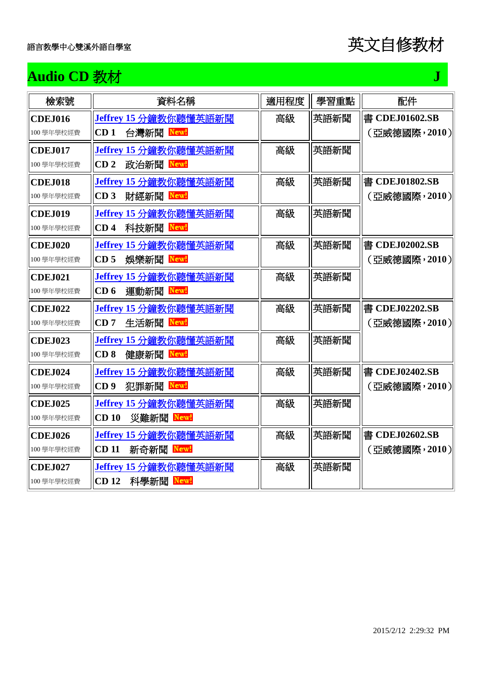

## **Audio CD** 教材 **J**

| 檢索號                          | 資料名稱                                                     | 適用程度 | 學習重點 | 配件                             |
|------------------------------|----------------------------------------------------------|------|------|--------------------------------|
| <b>CDEJ016</b>               | Jeffrey 15 分鐘教你聽懂英語新聞<br>CD <sub>1</sub>                 | 高級   | 英語新聞 | 書 CDEJ01602.SB                 |
| 100學年學校經費                    | 台灣新聞 New!                                                |      |      | (亞威德國際,2010)                   |
| <b>CDE.I017</b><br>100學年學校經費 | Jeffrey 15 分鐘教你聽懂英語新聞<br>政治新聞 Newl<br>CD <sub>2</sub>    | 高級   | 英語新聞 |                                |
| <b>CDEJ018</b><br>100學年學校經費  | Jeffrey 15 分鐘教你聽懂英語新聞<br>財經新聞 New!<br>CD <sub>3</sub>    | 高級   | 英語新聞 | 書 CDEJ01802.SB<br>(亞威德國際,2010) |
|                              |                                                          |      | 英語新聞 |                                |
| <b>CDEJ019</b><br>100學年學校經費  | Jeffrey 15 分鐘教你聽懂英語新聞<br>科技新聞<br>CD <sub>4</sub><br>New! | 高級   |      |                                |
| <b>CDEJ020</b>               | Jeffrey 15 分鐘教你聽懂英語新聞                                    | 高級   | 英語新聞 | 書 CDEJ02002.SB                 |
| 100學年學校經費                    | 娛樂新聞 Newl<br>CD <sub>5</sub>                             |      |      | (亞威德國際,2010)                   |
| <b>CDEJ021</b>               | Jeffrey 15 分鐘教你聽懂英語新聞                                    | 高級   | 英語新聞 |                                |
| 100學年學校經費                    | CD <sub>6</sub><br>運動新聞 New!                             |      |      |                                |
| <b>CDEJ022</b>               | Jeffrey 15 分鐘教你聽懂英語新聞                                    | 高級   | 英語新聞 | 書 CDEJ02202.SB                 |
| 100學年學校經費                    | CD7<br>生活新聞 New!                                         |      |      | (亞威德國際,2010)                   |
| <b>CDEJ023</b>               | Jeffrey 15 分鐘教你聽懂英語新聞                                    | 高級   | 英語新聞 |                                |
| 100學年學校經費                    | CD <sub>8</sub><br>健康新聞 Newl                             |      |      |                                |
| <b>CDEJ024</b>               | Jeffrey 15 分鐘教你聽懂英語新聞                                    | 高級   | 英語新聞 | 書 CDEJ02402.SB                 |
| 100學年學校經費                    | CD <sub>9</sub><br>犯罪新聞 New!                             |      |      | (亞威德國際,2010)                   |
| <b>CDEJ025</b>               | Jeffrey 15 分鐘教你聽懂英語新聞                                    | 高級   | 英語新聞 |                                |
| 100學年學校經費                    | CD <sub>10</sub><br>災難新聞 New!                            |      |      |                                |
| <b>CDEJ026</b>               | Jeffrey 15 分鐘教你聽懂英語新聞                                    | 高級   | 英語新聞 | 書 CDEJ02602.SB                 |
| 100學年學校經費                    | <b>CD</b> <sub>11</sub><br>新奇新聞<br>New!                  |      |      | (亞威德國際,2010)                   |
| <b>CDEJ027</b>               | Jeffrey 15 分鐘教你聽懂英語新聞                                    | 高級   | 英語新聞 |                                |
| 100學年學校經費                    | <b>CD</b> <sub>12</sub><br>科學新聞 New!                     |      |      |                                |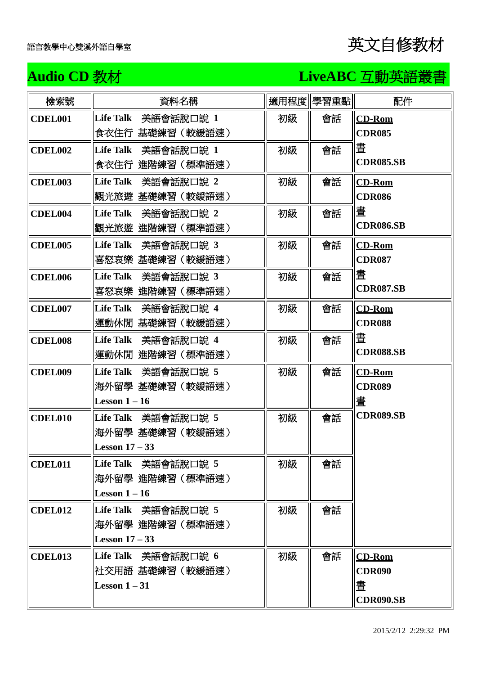### **Audio CD** 教材 **LiveABC** 互動英語叢書

| 檢索號            | 資料名稱                                                       |    | 適用程度 學習重點 | 配件                                                 |
|----------------|------------------------------------------------------------|----|-----------|----------------------------------------------------|
| <b>CDEL001</b> | Life Talk 美語會話脫口說 1<br>食衣住行 基礎練習(較緩語速)                     | 初級 | 會話        | <b>CD-Rom</b><br><b>CDR085</b>                     |
| <b>CDEL002</b> | Life Talk 美語會話脫口說 1<br>食衣住行 進階練習(標準語速)                     | 初級 | 會話        | 晝<br><b>CDR085.SB</b>                              |
| <b>CDEL003</b> | Life Talk 美語會話脫口說 2<br>觀光旅遊 基礎練習(較緩語速)                     | 初級 | 會話        | <b>CD-Rom</b><br><b>CDR086</b>                     |
| CDEL004        | Life Talk 美語會話脫口說 2<br>觀光旅遊 進階練習(標準語速)                     | 初級 | 會話        | 晝<br><b>CDR086.SB</b>                              |
| <b>CDEL005</b> | Life Talk 美語會話脫口說 3<br>喜怒哀樂 基礎練習(較緩語速)                     | 初級 | 會話        | <b>CD-Rom</b><br><b>CDR087</b>                     |
| <b>CDEL006</b> | Life Talk 美語會話脫口說 3<br>喜怒哀樂 進階練習(標準語速)                     | 初級 | 會話        | 晝<br><b>CDR087.SB</b>                              |
| <b>CDEL007</b> | Life Talk 美語會話脫口說 4<br>運動休閒 基礎練習(較緩語速)                     | 初級 | 會話        | <b>CD-Rom</b><br><b>CDR088</b>                     |
| <b>CDEL008</b> | Life Talk 美語會話脫口說 4<br>運動休閒 進階練習(標準語速)                     | 初級 | 會話        | 晝<br><b>CDR088.SB</b>                              |
| <b>CDEL009</b> | Life Talk 美語會話脫口說 5<br>海外留學 基礎練習 (較緩語速)<br>Lesson $1-16$   | 初級 | 會話        | <b>CD-Rom</b><br><b>CDR089</b><br>晝                |
| <b>CDEL010</b> | Life Talk 美語會話脫口說 5<br>海外留學 基礎練習(較緩語速)<br>Lesson $17-33$   | 初級 | 會話        | <b>CDR089.SB</b>                                   |
| <b>CDEL011</b> | Life Talk 美語會話脫口說 5<br>海外留學 進階練習(標準語速)<br>Lesson $1-16$    | 初級 | 會話        |                                                    |
| CDEL012        | Life Talk 美語會話脫口說 5<br>海外留學 進階練習(標準語速)<br>Lesson $17 - 33$ | 初級 | 會話        |                                                    |
| CDEL013        | Life Talk 美語會話脫口說 6<br>社交用語 基礎練習(較緩語速)<br>Lesson $1-31$    | 初級 | 會話        | $CD-Rom$<br><b>CDR090</b><br>晝<br><b>CDR090.SB</b> |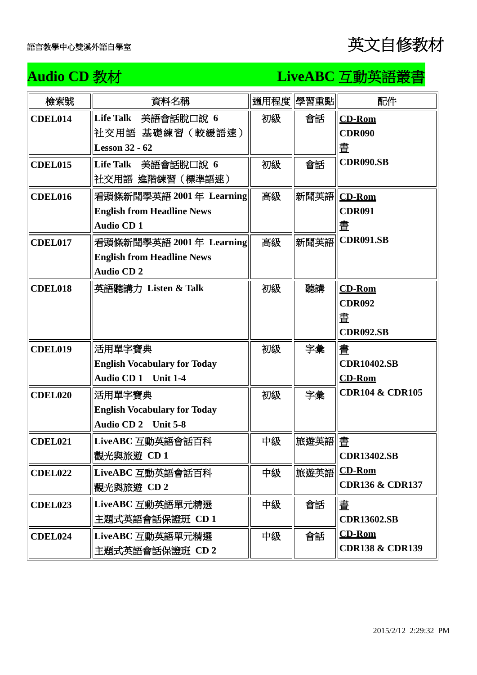### **Audio CD** 教材 **LiveABC** 互動英語叢書

| 檢索號            | 資料名稱                                |    | 適用程度 學習重點    | 配件                         |
|----------------|-------------------------------------|----|--------------|----------------------------|
| CDEL014        | Life Talk 美語會話脫口說 6                 | 初級 | 會話           | <b>CD-Rom</b>              |
|                | 社交用語 基礎練習(較緩語速)                     |    |              | <b>CDR090</b>              |
|                | <b>Lesson 32 - 62</b>               |    |              | 晝                          |
| <b>CDEL015</b> | Life Talk 美語會話脫口說 6                 | 初級 | 會話           | <b>CDR090.SB</b>           |
|                | 社交用語 進階練習(標準語速)                     |    |              |                            |
| CDEL016        | 看頭條新聞學英語 2001年 Learning             | 高級 | 新聞英語  CD-Rom |                            |
|                | <b>English from Headline News</b>   |    |              | <b>CDR091</b>              |
|                | Audio CD <sub>1</sub>               |    |              | 晝                          |
| <b>CDEL017</b> | 看頭條新聞學英語 2001年 Learning             | 高級 | 新聞英語         | <b>CDR091.SB</b>           |
|                | <b>English from Headline News</b>   |    |              |                            |
|                | <b>Audio CD2</b>                    |    |              |                            |
| <b>CDEL018</b> | 英語聽講力 Listen & Talk                 | 初級 | 聽講           | <b>CD-Rom</b>              |
|                |                                     |    |              | <b>CDR092</b>              |
|                |                                     |    |              | 晝                          |
|                |                                     |    |              | <b>CDR092.SB</b>           |
| <b>CDEL019</b> | 活用單字寶典                              | 初級 | 字彙           | 畫                          |
|                | <b>English Vocabulary for Today</b> |    |              | <b>CDR10402.SB</b>         |
|                | Audio CD 1 Unit 1-4                 |    |              | <b>CD-Rom</b>              |
| <b>CDEL020</b> | 活用單字寶典                              | 初級 | 字彙           | <b>CDR104 &amp; CDR105</b> |
|                | <b>English Vocabulary for Today</b> |    |              |                            |
|                | Audio CD 2 Unit 5-8                 |    |              |                            |
| CDEL021        | LiveABC 互動英語會話百科                    | 中級 | 旅遊英語  畫      |                            |
|                | 觀光與旅遊 CD 1                          |    |              | <b>CDR13402.SB</b>         |
| CDEL022        | LiveABC 互動英語會話百科                    | 中級 | 旅遊英語         | $CD-Rom$                   |
|                | 觀光與旅遊 CD2                           |    |              | <b>CDR136 &amp; CDR137</b> |
| CDEL023        | LiveABC 互動英語單元精選                    | 中級 | 會話           | 晝                          |
|                | 主題式英語會話保證班 CD1                      |    |              | <b>CDR13602.SB</b>         |
| CDEL024        | LiveABC 互動英語單元精選                    | 中級 | 會話           | $CD-Rom$                   |
|                | 主題式英語會話保證班 CD2                      |    |              | <b>CDR138 &amp; CDR139</b> |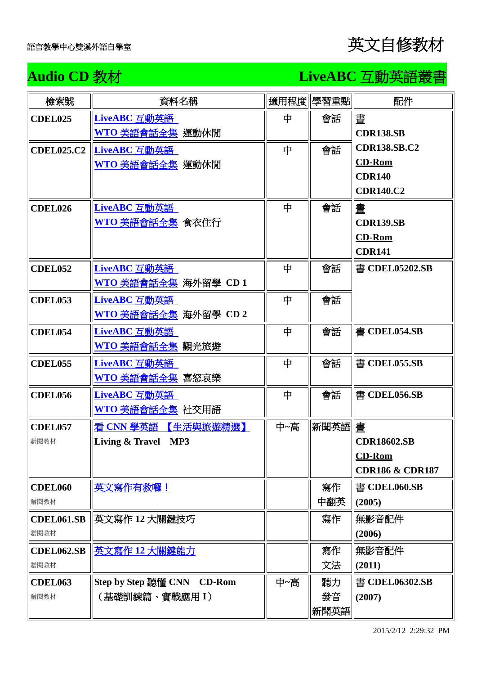## Audio CD 教材 **LiveABC** 互動英語叢書

| 檢索號                       | 資料名稱                                                    |     | 適用程度 學習重點         | 配件                                                                 |
|---------------------------|---------------------------------------------------------|-----|-------------------|--------------------------------------------------------------------|
| <b>CDEL025</b>            | LiveABC 互動英語<br><u>WTO 美語會話全集</u> 運動休閒                  | 中   | 會話                | 晝<br><b>CDR138.SB</b>                                              |
|                           | CDEL025.C2 LiveABC 互動英語<br><mark>WTO 美語會話全集</mark> 運動休閒 | 中   | 會話                | <b>CDR138.SB.C2</b><br><b>CD-Rom</b><br><b>CDR140</b><br>CDR140.C2 |
| CDEL026                   | LiveABC 互動英語<br><mark>WTO 美語會話全集</mark> 食衣住行            | 中   | 會話                | 畫<br><b>CDR139.SB</b><br><b>CD-Rom</b><br><b>CDR141</b>            |
| <b>CDEL052</b>            | LiveABC 互動英語<br>WTO 美語會話全集 海外留學 CD 1                    | 中   | 會話                | 書 CDEL05202.SB                                                     |
| <b>CDEL053</b>            | LiveABC 互動英語<br><u>WTO 美語會話全集</u> 海外留學 CD 2             | 中   | 會話                |                                                                    |
| <b>CDEL054</b>            | LiveABC 互動英語<br>WTO 美語會話全集 觀光旅遊                         | 中   | 會話                | 書 CDEL054.SB                                                       |
| <b>CDEL055</b>            | LiveABC 互動英語<br><mark>WTO 美語會話全集</mark> 喜怒哀樂            | 中   | 會話                | 書 CDEL055.SB                                                       |
| <b>CDEL056</b>            | LiveABC 互動英語<br><mark>WTO 美語會話全集</mark> 社交用語            | 中   | 會話                | 書 CDEL056.SB                                                       |
| <b>CDEL057</b><br>贈閱教材    | 看 CNN 學英語 【生活與旅遊精選】<br>Living & Travel MP3              | 中~高 | 新聞英語 畫            | <b>CDR18602.SB</b><br>$CD-Rom$<br><b>CDR186 &amp; CDR187</b>       |
| <b>CDEL060</b><br>贈閱教材    | 英文寫作有救囉!                                                |     | 寫作<br>中翻英         | 書 CDEL060.SB<br>(2005)                                             |
| <b>CDEL061.SB</b><br>贈閱教材 | 英文寫作 12 大關鍵技巧                                           |     | 寫作                | 無影音配件<br>(2006)                                                    |
| <b>CDEL062.SB</b><br>贈閱教材 | 英文寫作 12 大關鍵能力                                           |     | 寫作<br>文法          | 無影音配件<br>(2011)                                                    |
| <b>CDEL063</b><br>贈閱教材    | Step by Step 聽懂 CNN CD-Rom<br>(基礎訓練篇、實戰應用 I)            | 中~高 | 聽力<br>發音<br> 新聞英語 | 書 CDEL06302.SB<br>(2007)                                           |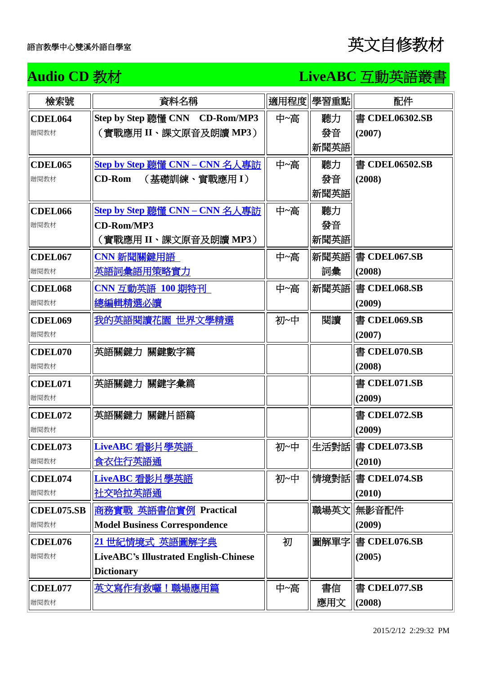### Audio CD 教材<br> **LiveABC** 互動英語叢書

| 檢索號               | 資料名稱                                         |     | 適用程度 學習重點 | 配件                  |
|-------------------|----------------------------------------------|-----|-----------|---------------------|
| <b>CDEL064</b>    | Step by Step 聽懂 CNN CD-Rom/MP3               | 中~高 | 聽力        | 書 CDEL06302.SB      |
| 贈閱教材              | (實戰應用 II、課文原音及朗讀 MP3)                        |     | 發音        | (2007)              |
|                   |                                              |     | 新聞英語      |                     |
| <b>CDEL065</b>    | Step by Step 聽懂 CNN - CNN 名人專訪               | 中~高 | 聽力        | 書 CDEL06502.SB      |
| 贈閱教材              | <b>CD-Rom</b><br>(基礎訓練、實戰應用 I)               |     | 發音        | (2008)              |
|                   |                                              |     | 新聞英語      |                     |
| <b>CDEL066</b>    | <u>Step by Step 聽懂 CNN – CNN 名人專訪</u>        | 中~高 | 聽力        |                     |
| 贈閱教材              | <b>CD-Rom/MP3</b>                            |     | 發音        |                     |
|                   | (實戰應用 II、課文原音及朗讀 MP3)                        |     | 新聞英語      |                     |
| <b>CDEL067</b>    | CNN 新聞關鍵用語                                   | 中~高 |           | 新聞英語   書 CDEL067.SB |
| 贈閱教材              | 英語詞彙語用策略實力                                   |     | 詞彙        | (2008)              |
| <b>CDEL068</b>    | CNN 互動英語 100 期特刊                             | 中~高 | 新聞英語      | 書 CDEL068.SB        |
| 贈閱教材              | 總編輯精選必讀                                      |     |           | (2009)              |
| <b>CDEL069</b>    | 我的英語閱讀花園 世界文學精選                              | 初~中 | 閲讀        | 書 CDEL069.SB        |
| 贈閱教材              |                                              |     |           | (2007)              |
| <b>CDEL070</b>    | 英語關鍵力 關鍵數字篇                                  |     |           | 書 CDEL070.SB        |
| 贈閱教材              |                                              |     |           | (2008)              |
| <b>CDEL071</b>    | 英語關鍵力 關鍵字彙篇                                  |     |           | 書 CDEL071.SB        |
| 贈閱教材              |                                              |     |           | (2009)              |
| <b>CDEL072</b>    | 英語關鍵力 關鍵片語篇                                  |     |           | 書 CDEL072.SB        |
| 贈閱教材              |                                              |     |           | (2009)              |
| CDEL073           | LiveABC 看影片學英語                               | 初~中 |           | 生活對話   書 CDEL073.SB |
| 贈閱教材              | <u>食衣住行英語通</u>                               |     |           | (2010)              |
| CDEL074           | LiveABC 看影片學英語                               | 初~中 |           | 情境對話   書 CDEL074.SB |
| 贈閱教材              | <u>社交哈拉英語通</u>                               |     |           | (2010)              |
| <b>CDEL075.SB</b> | 商務實戰 英語書信實例 Practical                        |     | 職場英文      | 無影音配件               |
| 贈閱教材              | <b>Model Business Correspondence</b>         |     |           | (2009)              |
| CDEL076           | 21世紀情境式 英語圖解字典                               | 初   |           | 圖解單字   書 CDEL076.SB |
| 贈閱教材              | <b>LiveABC's Illustrated English-Chinese</b> |     |           | (2005)              |
|                   | <b>Dictionary</b>                            |     |           |                     |
| <b>CDEL077</b>    | <u>英文寫作有救囉!職場應用篇</u>                         | 中~高 | 書信        | 書 CDEL077.SB        |
| 贈閱教材              |                                              |     | 應用文       | (2008)              |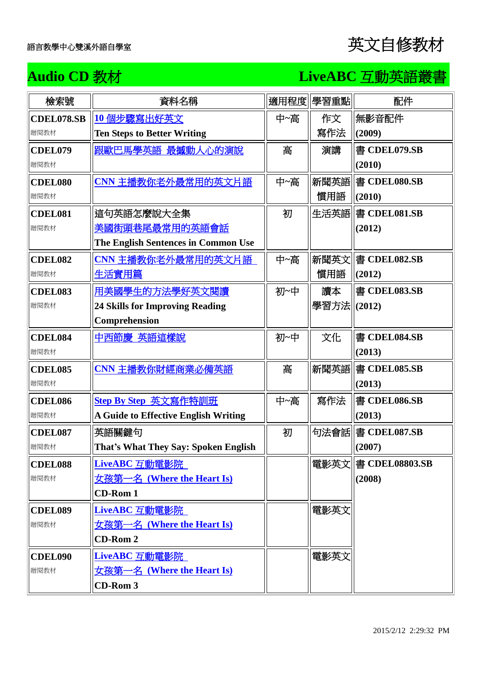### Audio CD 教材<br> **LiveABC** 互動英語叢書

| 檢索號               | 資料名稱                                   | 適用程度 | 學習重點         | 配件                    |
|-------------------|----------------------------------------|------|--------------|-----------------------|
| <b>CDEL078.SB</b> | 10個步驟寫出好英文                             | 中~高  | 作文           | 無影音配件                 |
| 贈閱教材              | <b>Ten Steps to Better Writing</b>     |      | 寫作法          | (2009)                |
| <b>CDEL079</b>    | 跟歐巴馬學英語 最揻動人心的演說                       | 高    | 演講           | 書 CDEL079.SB          |
| 贈閱教材              |                                        |      |              | (2010)                |
| <b>CDEL080</b>    | CNN 主播教你老外最常用的英文片語                     | 中~高  |              | 新聞英語   書 CDEL080.SB   |
| 贈閱教材              |                                        |      | 慣用語          | (2010)                |
| <b>CDEL081</b>    | 這句英語怎麼說大全集                             | 初    |              | 生活英語   書 CDEL081.SB   |
| 贈閱教材              | 美國街頭巷尾最常用的英語會話                         |      |              | (2012)                |
|                   | The English Sentences in Common Use    |      |              |                       |
| CDEL082           | <u>CNN 主播教你老外最常用的英文片語</u>              | 中~高  |              | 新聞英文   書 CDEL082.SB   |
| 贈閱教材              | 生活實用篇                                  |      | 慣用語          | (2012)                |
| <b>CDEL083</b>    | 用美國學生的方法學好英文閱讀                         | 初~中  | 讀本           | 書 CDEL083.SB          |
| 贈閱教材              | <b>24 Skills for Improving Reading</b> |      | 學習方法  (2012) |                       |
|                   | Comprehension                          |      |              |                       |
| <b>CDEL084</b>    | 中西節慶 英語這樣說                             | 初~中  | 文化           | 書 CDEL084.SB          |
| 贈閱教材              |                                        |      |              | (2013)                |
| <b>CDEL085</b>    | CNN 主播教你財經商業必備英語                       | 高    |              | 新聞英語   書 CDEL085.SB   |
| 贈閱教材              |                                        |      |              | (2013)                |
| <b>CDEL086</b>    | <b>Step By Step 英文寫作特訓班</b>            | 中~高  | 寫作法          | 書 CDEL086.SB          |
| 贈閱教材              | A Guide to Effective English Writing   |      |              | (2013)                |
| CDEL087           | 英語關鍵句                                  | 初    |              | 句法會話   書 CDEL087.SB   |
| 贈閱教材              | That's What They Say: Spoken English   |      |              | (2007)                |
| <b>CDEL088</b>    | LiveABC 互動電影院                          |      |              | 電影英文   書 CDEL08803.SB |
| 贈閱教材              | 女孩第一名 (Where the Heart Is)             |      |              | (2008)                |
|                   | <b>CD-Rom 1</b>                        |      |              |                       |
| <b>CDEL089</b>    | LiveABC 互動電影院                          |      | 電影英文         |                       |
| 贈閱教材              | <u> 女孩第一名 (Where the Heart Is)</u>     |      |              |                       |
|                   | <b>CD-Rom 2</b>                        |      |              |                       |
| <b>CDEL090</b>    | LiveABC 互動電影院                          |      | 電影英文         |                       |
| 贈閱教材              | <b>女孩第一名 (Where the Heart Is)</b>      |      |              |                       |
|                   | CD-Rom 3                               |      |              |                       |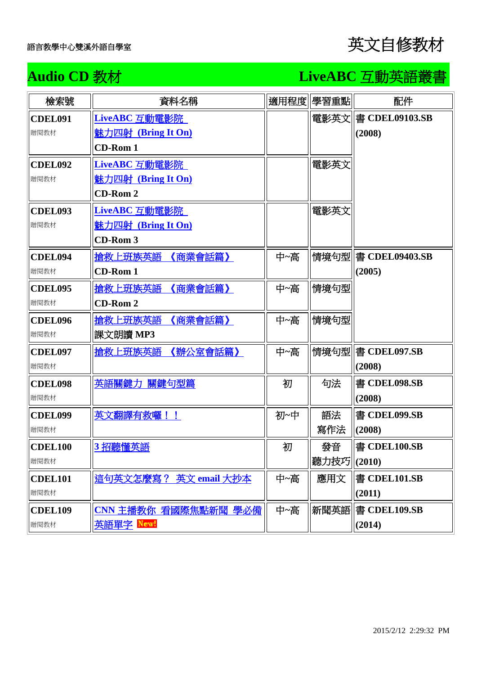## Audio CD 教材<br> **LiveABC** 互動英語叢書

| 檢索號            | 資料名稱                       | 適用程度 | 學習重點         | 配件                    |
|----------------|----------------------------|------|--------------|-----------------------|
| <b>CDEL091</b> | LiveABC 互動電影院              |      |              | 電影英文   書 CDEL09103.SB |
| 贈閱教材           | 魅力四射 (Bring It On)         |      |              | (2008)                |
|                | <b>CD-Rom 1</b>            |      |              |                       |
| CDEL092        | LiveABC 互動電影院              |      | 電影英文         |                       |
| 贈閱教材           | <u> 魅力四射 (Bring It On)</u> |      |              |                       |
|                | <b>CD-Rom 2</b>            |      |              |                       |
| <b>CDEL093</b> | LiveABC 互動電影院              |      | 電影英文         |                       |
| 贈閱教材           | <b>魅力四射 (Bring It On)</b>  |      |              |                       |
|                | <b>CD-Rom 3</b>            |      |              |                       |
| CDEL094        | 搶救上班族英語 《商業會話篇》            | 中~高  |              | 情境句型   書 CDEL09403.SB |
| 贈閱教材           | <b>CD-Rom 1</b>            |      |              | (2005)                |
| <b>CDEL095</b> | 搶救上班族英語 《商業會話篇》            | 中~高  | 情境句型         |                       |
| 贈閱教材           | <b>CD-Rom 2</b>            |      |              |                       |
| <b>CDEL096</b> | 搶救上班族英語 《商業會話篇》            | 中~高  | 情境句型         |                       |
| 贈閱教材           | 課文朗讀 MP3                   |      |              |                       |
| <b>CDEL097</b> | 搶救上班族英語 《辦公室會話篇》           | 中~高  |              | 情境句型   書 CDEL097.SB   |
| 贈閱教材           |                            |      |              | (2008)                |
| <b>CDEL098</b> | 英語關鍵力 關鍵句型篇                | 初    | 句法           | 書 CDEL098.SB          |
| 贈閱教材           |                            |      |              | (2008)                |
| <b>CDEL099</b> | 英文翻譯有救囉!!                  | 初~中  | 語法           | 書 CDEL099.SB          |
| 贈閱教材           |                            |      | 寫作法          | (2008)                |
| <b>CDEL100</b> | 3招聽懂英語                     | 初    | 發音           | 書 CDEL100.SB          |
| 贈閱教材           |                            |      | 聽力技巧  (2010) |                       |
| <b>CDEL101</b> | 這句英文怎麼寫? 英文 email 大抄本      | 中~高  | 應用文          | 書 CDEL101.SB          |
| 贈閱教材           |                            |      |              | (2011)                |
| <b>CDEL109</b> | CNN 主播教你 看國際焦點新聞 學必備       | 中~高  | 新聞英語         | 書 CDEL109.SB          |
| 贈閱教材           | 英語單字 New!                  |      |              | (2014)                |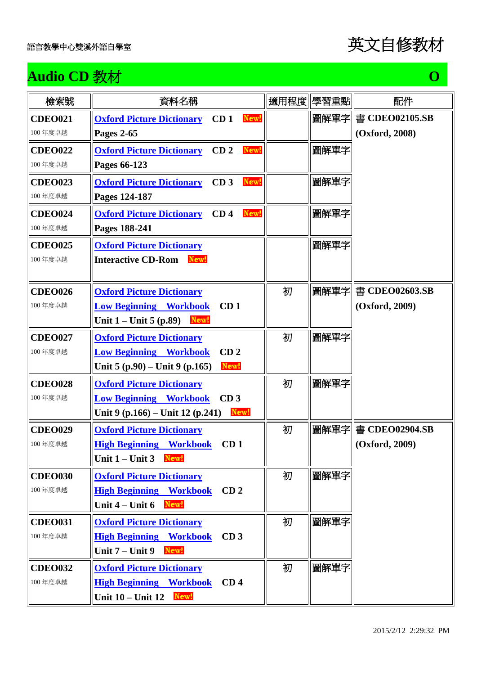

## **Audio CD** 教材 **O O O O O O O O O**

| 檢索號            | 資料名稱                                                        | 適用程度 | 學習重點 | 配件             |
|----------------|-------------------------------------------------------------|------|------|----------------|
| <b>CDEO021</b> | <b>Oxford Picture Dictionary</b><br>CD <sub>1</sub><br>New! |      | 圖解單字 | 書 CDEO02105.SB |
| 100年度卓越        | <b>Pages 2-65</b>                                           |      |      | (Oxford, 2008) |
| <b>CDEO022</b> | New!<br><b>Oxford Picture Dictionary</b><br>CD <sub>2</sub> |      | 圖解單字 |                |
| 100年度卓越        | Pages 66-123                                                |      |      |                |
| <b>CDEO023</b> | New!<br>CD <sub>3</sub><br><b>Oxford Picture Dictionary</b> |      | 圖解單字 |                |
| 100年度卓越        | Pages 124-187                                               |      |      |                |
| <b>CDEO024</b> | CD <sub>4</sub><br>New!<br><b>Oxford Picture Dictionary</b> |      | 圖解單字 |                |
| 100年度卓越        | Pages 188-241                                               |      |      |                |
| <b>CDEO025</b> | <b>Oxford Picture Dictionary</b>                            |      | 圖解單字 |                |
| 100年度卓越        | <b>Interactive CD-Rom</b><br>New!                           |      |      |                |
|                |                                                             |      |      |                |
| <b>CDEO026</b> | <b>Oxford Picture Dictionary</b>                            | 初    |      |                |
| 100年度卓越        | <b>Low Beginning Workbook</b><br>CD <sub>1</sub>            |      |      | (Oxford, 2009) |
|                | New!<br>Unit $1 -$ Unit 5 (p.89)                            |      |      |                |
| <b>CDEO027</b> | <b>Oxford Picture Dictionary</b>                            | 初    | 圖解單字 |                |
| 100年度卓越        | <b>Low Beginning Workbook</b><br>CD <sub>2</sub>            |      |      |                |
|                | New!<br>Unit $5 (p.90) -$ Unit $9 (p.165)$                  |      |      |                |
| <b>CDEO028</b> | <b>Oxford Picture Dictionary</b>                            | 初    | 圖解單字 |                |
| 100年度卓越        | CD <sub>3</sub><br><b>Low Beginning Workbook</b>            |      |      |                |
|                | Unit 9 $(p.166)$ – Unit 12 $(p.241)$<br>New!                |      |      |                |
| <b>CDEO029</b> | <b>Oxford Picture Dictionary</b>                            | 初    | 圖解單字 | 書 CDEO02904.SB |
| 100年度卓越        | <b>High Beginning Workbook</b><br>CD <sub>1</sub>           |      |      | (Oxford, 2009) |
|                | Unit $1 -$ Unit $3$ New!                                    |      |      |                |
| <b>CDEO030</b> | <b>Oxford Picture Dictionary</b>                            | 初    | 圖解單字 |                |
| 100年度卓越        | <b>High Beginning Workbook</b><br>CD <sub>2</sub>           |      |      |                |
|                | New!<br>Unit $4$ – Unit 6                                   |      |      |                |
| <b>CDEO031</b> | <b>Oxford Picture Dictionary</b>                            | 初    | 圖解單字 |                |
| 100年度卓越        | <b>High Beginning Workbook</b><br>CD <sub>3</sub>           |      |      |                |
|                | Unit $7 -$ Unit 9<br>New!                                   |      |      |                |
| <b>CDEO032</b> | <b>Oxford Picture Dictionary</b>                            | 初    | 圖解單字 |                |
| 100年度卓越        | <b>High Beginning Workbook</b><br>CD <sub>4</sub>           |      |      |                |
|                | Unit $10 -$ Unit $12$<br>New!                               |      |      |                |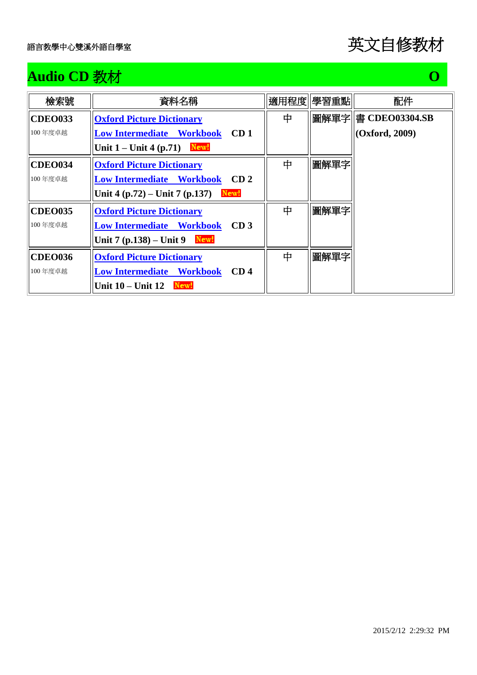## **Audio CD** 教材 **O**

| 檢索號            | 資料名稱                                                |   | 適用程度  學習重點 | 配件             |
|----------------|-----------------------------------------------------|---|------------|----------------|
| <b>CDEO033</b> | <b>Oxford Picture Dictionary</b>                    | 中 |            |                |
| 100年度卓越        | <b>Low Intermediate Workbook</b><br>CD <sub>1</sub> |   |            | (Oxford, 2009) |
|                | New!<br>Unit $1 -$ Unit 4 (p.71)                    |   |            |                |
| <b>CDEO034</b> | <b>Oxford Picture Dictionary</b>                    | 中 | 圖解單字       |                |
| 100年度卓越        | CD <sub>2</sub><br><b>Low Intermediate Workbook</b> |   |            |                |
|                | New!<br>Unit 4 $(p.72)$ – Unit 7 $(p.137)$          |   |            |                |
| <b>CDEO035</b> | <b>Oxford Picture Dictionary</b>                    | 中 | 圖解單字       |                |
| 100年度卓越        | <b>Low Intermediate Workbook</b><br>CD <sub>3</sub> |   |            |                |
|                | New!<br>Unit 7 (p.138) – Unit 9                     |   |            |                |
| <b>CDEO036</b> | <b>Oxford Picture Dictionary</b>                    | 中 | 圖解單字       |                |
| 100年度卓越        | <b>Low Intermediate Workbook</b><br>CD <sub>4</sub> |   |            |                |
|                | Unit $10 -$ Unit $12$ New!                          |   |            |                |

2015/2/12 2:29:32 PM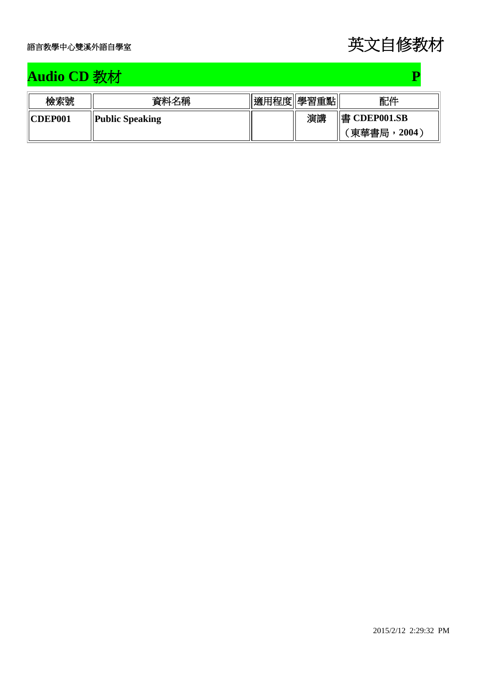## **Audio CD** 教材 **P**

| 檢索號            | 資料名稱                   | 適用程度  學習重點 |    | 配件           |
|----------------|------------------------|------------|----|--------------|
| <b>CDEP001</b> | <b>Public Speaking</b> |            | 演講 | 書 CDEP001.SB |
|                |                        |            |    | 東華書局<br>2004 |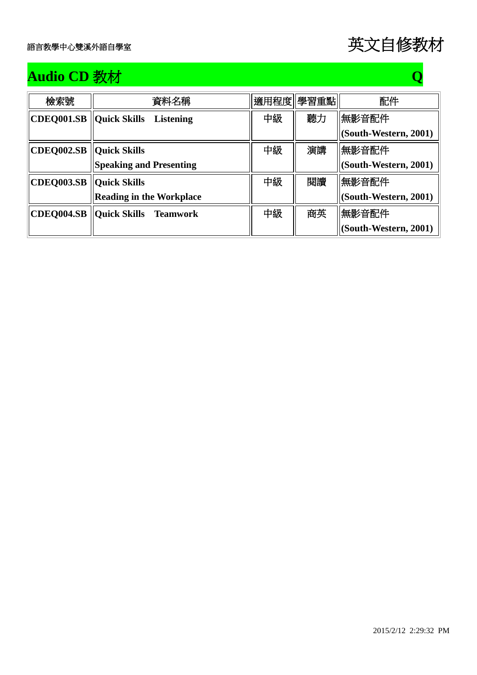

## **Audio CD** 教材 **Q**

| 檢索號                              | 資料名稱                               |    | 適用程度 學習重點 | 配件                    |
|----------------------------------|------------------------------------|----|-----------|-----------------------|
| <b>CDEQ001.SB   Quick Skills</b> | <b>Listening</b>                   | 中級 | 聽力        | 無影音配件                 |
|                                  |                                    |    |           | (South-Western, 2001) |
| CDEQ002.SB   Quick Skills        |                                    | 中級 | 演講        | 無影音配件                 |
|                                  | <b>Speaking and Presenting</b>     |    |           | (South-Western, 2001) |
| CDEQ003.SB   Quick Skills        |                                    | 中級 | 閲讀        | 無影音配件                 |
|                                  | <b>Reading in the Workplace</b>    |    |           | (South-Western, 2001) |
|                                  | CDEQ004.SB   Quick Skills Teamwork | 中級 | 商英        | 無影音配件                 |
|                                  |                                    |    |           | (South-Western, 2001) |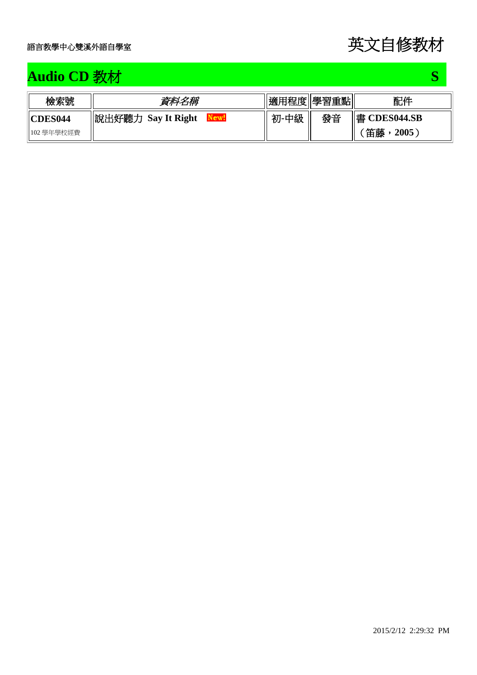## **Audio CD** 教材 **S**

| 檢索號                 | 資料名稱                         |      | 適用程度  學習重點 | 配件           |
|---------------------|------------------------------|------|------------|--------------|
| $\parallel$ CDES044 | 說出好聽力<br><b>Say It Right</b> | 初-中級 | 發音         | 書 CDES044.SB |
| 102 學年學校經費          |                              |      |            | 笛藤<br>2005   |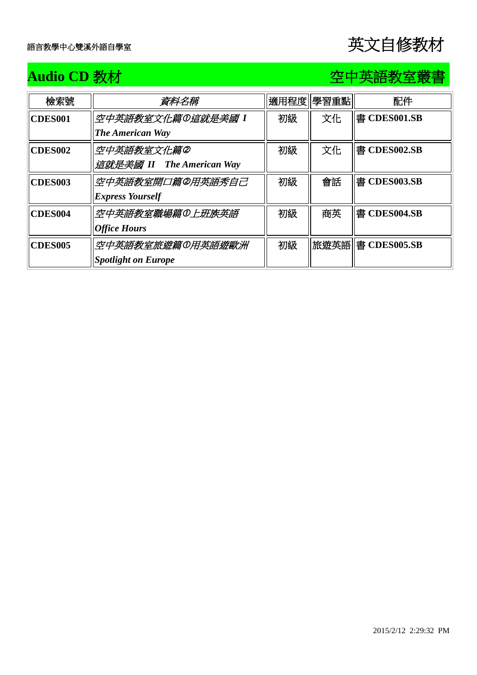### **Audio CD** 教材空中英語教室叢書

| 檢索號                 | 資料名稱                       |    | 適用程度  學習重點 | 配件                 |
|---------------------|----------------------------|----|------------|--------------------|
| <b>CDES001</b>      | 空中英語教室文化篇の這就是美國 I          | 初級 | 文化         | 書 CDES001.SB       |
|                     | <b>The American Way</b>    |    |            |                    |
| <b>CDES002</b>      | 空中英語教室文化篇②                 | 初級 | 文化         | 書 CDES002.SB       |
|                     | 這就是美國 II The American Way  |    |            |                    |
| <b>CDES003</b>      | 空中英語教室開口篇の用英語秀自己           | 初級 | 會話         | 書 CDES003.SB       |
|                     | <b>Express Yourself</b>    |    |            |                    |
| CDES <sub>004</sub> | 空中英語教室職場篇の上班族英語            | 初級 | 商英         | 書 CDES004.SB       |
|                     | <b>Office Hours</b>        |    |            |                    |
| <b>CDES005</b>      | 空中英語教室旅遊篇の用英語遊歐洲           | 初級 |            | 旅遊英語  書 CDES005.SB |
|                     | <b>Spotlight on Europe</b> |    |            |                    |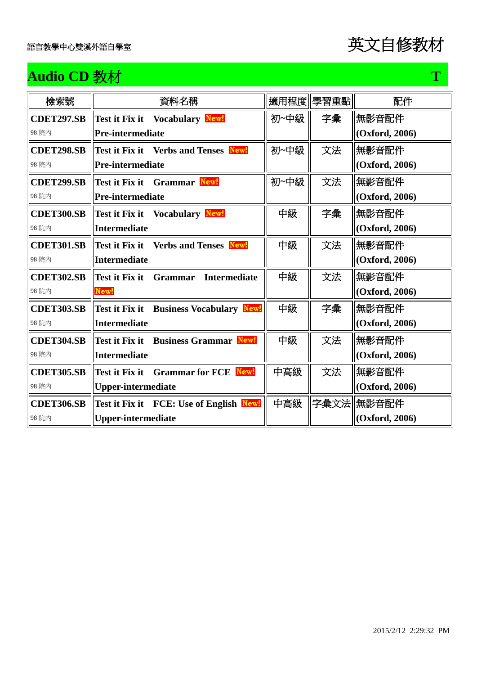## **Audio CD** 教材 T **T**

| 檢索號               | 資料名稱                                                    | 適用程度 | 學習重點 | 配件             |
|-------------------|---------------------------------------------------------|------|------|----------------|
| <b>CDET297.SB</b> | Test it Fix it Vocabulary New!                          | 初~中級 | 字彙   | 無影音配件          |
| 98 院内             | <b>Pre-intermediate</b>                                 |      |      | (Oxford, 2006) |
| <b>CDET298.SB</b> | Test it Fix it Verbs and Tenses New!                    | 初~中級 | 文法   | 無影音配件          |
| 98 院内             | <b>Pre-intermediate</b>                                 |      |      | (Oxford, 2006) |
| <b>CDET299.SB</b> | Test it Fix it Grammar New!                             | 初~中級 | 文法   | 無影音配件          |
| 98 院内             | <b>Pre-intermediate</b>                                 |      |      | (Oxford, 2006) |
| <b>CDET300.SB</b> | Test it Fix it Vocabulary New!                          | 中級   | 字彙   | 無影音配件          |
| 98 院内             | <b>Intermediate</b>                                     |      |      | (Oxford, 2006) |
| <b>CDET301.SB</b> | Test it Fix it Verbs and Tenses New!                    | 中級   | 文法   | 無影音配件          |
| 98 院内             | <b>Intermediate</b>                                     |      |      | (Oxford, 2006) |
| <b>CDET302.SB</b> | Test it Fix it<br><b>Intermediate</b><br><b>Grammar</b> | 中級   | 文法   | 無影音配件          |
| 98 院内             | New!                                                    |      |      | (Oxford, 2006) |
| <b>CDET303.SB</b> | Test it Fix it Business Vocabulary New!                 | 中級   | 字彙   | 無影音配件          |
| 98 院内             | <b>Intermediate</b>                                     |      |      | (Oxford, 2006) |
| <b>CDET304.SB</b> | Test it Fix it Business Grammar New!                    | 中級   | 文法   | 無影音配件          |
| 98 院内             | <b>Intermediate</b>                                     |      |      | (Oxford, 2006) |
| <b>CDET305.SB</b> | Test it Fix it Grammar for FCE New!                     | 中高級  | 文法   | 無影音配件          |
| 98 院内             | <b>Upper-intermediate</b>                               |      |      | (Oxford, 2006) |
| <b>CDET306.SB</b> | Test it Fix it FCE: Use of English Newl                 | 中高級  | 字彙文法 | 無影音配件          |
| 98 院内             | <b>Upper-intermediate</b>                               |      |      | (Oxford, 2006) |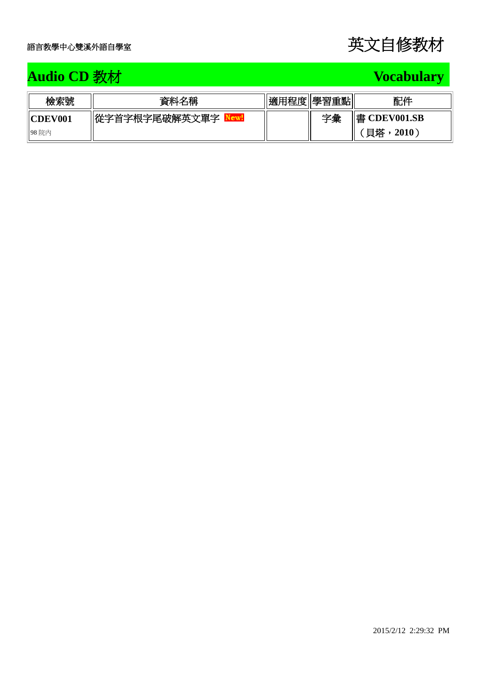## **Audio CD 教材 Vocabulary Audio CD 教材**

| 檢索號                 | 資料名稱          | 適用程度  學習重點 |    | 配件            |
|---------------------|---------------|------------|----|---------------|
| $\parallel$ CDEV001 | 從字首字根字尾破解英文單字 |            | 字彙 | ∥書 CDEV001.SB |
| 98院內                |               |            |    | 貝塔<br>2010    |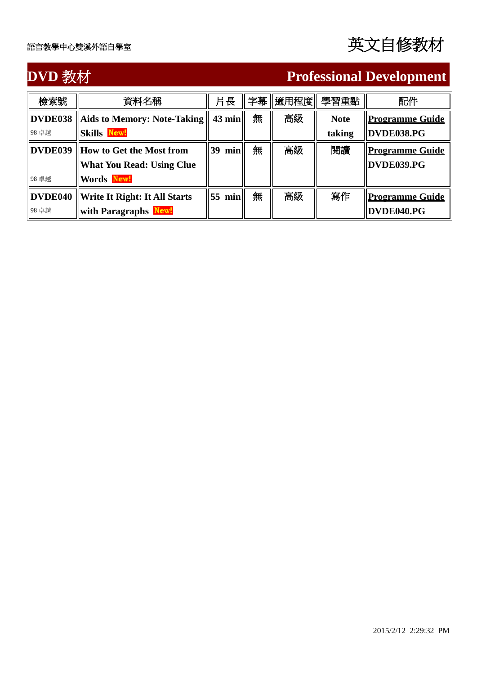### **DVD** 教材 **Professional Development**

| 檢索號     | 資料名稱                                 | 片長        | 字幕 | 適用程度 | 學習重點        | 配件                     |
|---------|--------------------------------------|-----------|----|------|-------------|------------------------|
| DVDE038 | Aids to Memory: Note-Taking          | $43$ min  | 無  | 高級   | <b>Note</b> | <u>Programme Guide</u> |
| 98 卓越   | <b>Skills New!</b>                   |           |    |      | taking      | DVDE038.PG             |
| DVDE039 | How to Get the Most from             | 39<br>min | 無  | 高級   | 閱讀          | <b>Programme Guide</b> |
|         | <b>What You Read: Using Clue</b>     |           |    |      |             | DVDE039.PG             |
| 98 卓越   | Words New!                           |           |    |      |             |                        |
| DVDE040 | <b>Write It Right: It All Starts</b> | min<br>55 | 無  | 高級   | 寫作          | <b>Programme Guide</b> |
| 98 卓越   | <b>with Paragraphs New!</b>          |           |    |      |             | DVDE040.PG             |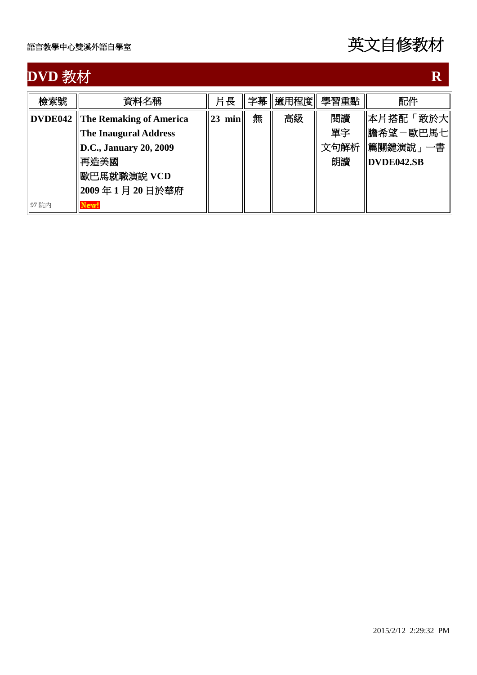## **DVD** 教材 R <br> **R** <br> **R** <br> **R** <br> **R**

| 檢索號     | 資料名稱                            | 片長        |   | 字幕   適用程度 | 學習重點 | 配件                |
|---------|---------------------------------|-----------|---|-----------|------|-------------------|
| DVDE042 | <b>The Remaking of Americal</b> | min<br>23 | 無 | 高級        | 閲讀   | 本片搭配「敢於大          |
|         | <b>The Inaugural Address</b>    |           |   |           | 單字   | 膽希望-歐巴馬七          |
|         | D.C., January 20, 2009          |           |   |           | 文句解析 | 篇關鍵演說」 一書         |
|         | 再造美國                            |           |   |           | 朗讀   | <b>DVDE042.SB</b> |
|         | 歐巴馬就職演說 VCD                     |           |   |           |      |                   |
|         | 2009年1月20日於華府                   |           |   |           |      |                   |
| 97 院内   | New!                            |           |   |           |      |                   |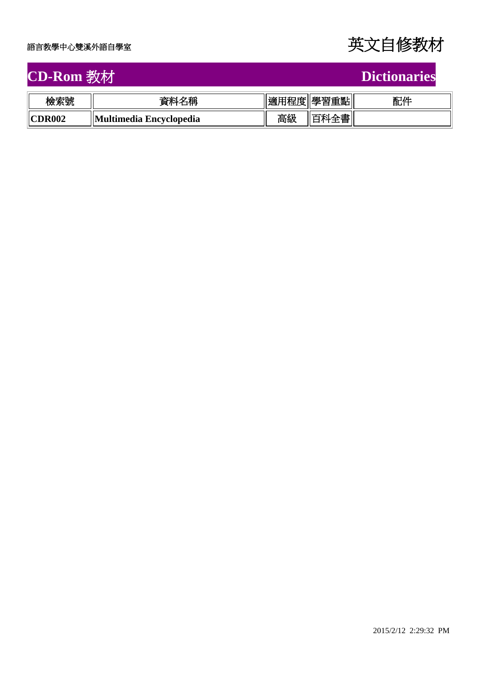

### **CD-Rom** 教材 **Dictionaries**

| <b>Dictionarie</b> |  |
|--------------------|--|
|                    |  |

| 檢索號    | 名稱<br>資料                | 適用程度' | 學習重點 | 配件 |
|--------|-------------------------|-------|------|----|
| CDR002 | Multimedia Encyclopedia | 高級    | 書    |    |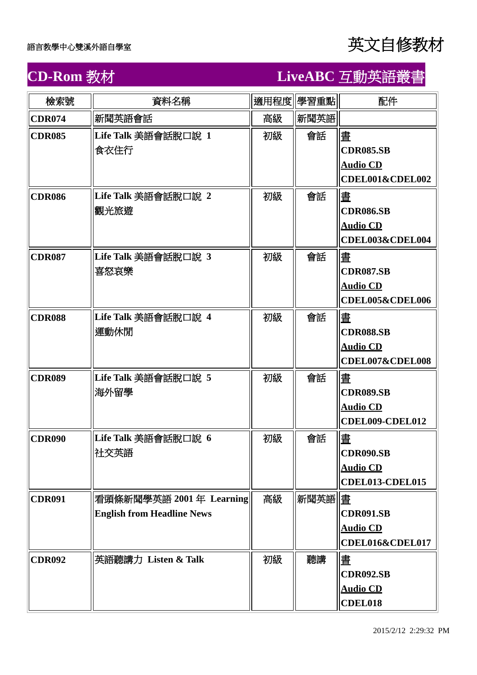| 檢索號           | 資料名稱                                                         |    | 適用程度 學習重點 | 配件                                                                |
|---------------|--------------------------------------------------------------|----|-----------|-------------------------------------------------------------------|
| <b>CDR074</b> | 新聞英語會話                                                       | 高級 | 新聞英語      |                                                                   |
| <b>CDR085</b> | Life Talk 美語會話脫口說 1<br>食衣住行                                  | 初級 | 會話        | 晝<br><b>CDR085.SB</b><br><b>Audio CD</b><br>CDEL001&CDEL002       |
| <b>CDR086</b> | Life Talk 美語會話脫口說 2<br>觀光旅遊                                  | 初級 | 會話        | 晝<br><b>CDR086.SB</b><br><b>Audio CD</b><br>CDEL003&CDEL004       |
| <b>CDR087</b> | Life Talk 美語會話脫口說 3<br>喜怒哀樂                                  | 初級 | 會話        | 晝<br><b>CDR087.SB</b><br><b>Audio CD</b><br>CDEL005&CDEL006       |
| <b>CDR088</b> | Life Talk 美語會話脫口說 4<br>運動休閒                                  | 初級 | 會話        | 晝<br><b>CDR088.SB</b><br><b>Audio CD</b><br>CDEL007&CDEL008       |
| <b>CDR089</b> | Life Talk 美語會話脫口說 5<br>海外留學                                  | 初級 | 會話        | 懂<br><b>CDR089.SB</b><br><b>Audio CD</b><br>CDEL009-CDEL012       |
| <b>CDR090</b> | Life Talk 美語會話脫口說 6<br>社交英語                                  | 初級 | 會話        | 晝<br><b>CDR090.SB</b><br><b>Audio CD</b><br>CDEL013-CDEL015       |
| <b>CDR091</b> | 看頭條新聞學英語 2001年 Learning<br><b>English from Headline News</b> | 高級 | 新聞英語      | <b>CDR091.SB</b><br><b>Audio CD</b><br><b>CDEL016&amp;CDEL017</b> |
| <b>CDR092</b> | 英語聽講力 Listen & Talk                                          | 初級 | 聽講        | 懂<br><b>CDR092.SB</b><br><b>Audio CD</b><br><b>CDEL018</b>        |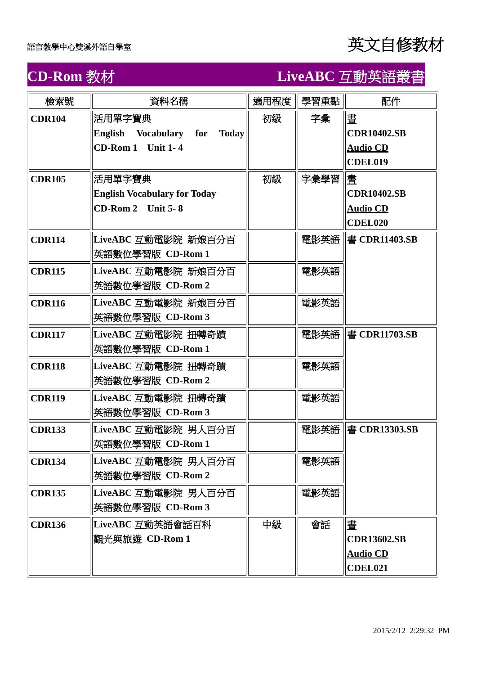| 檢索號           | 資料名稱                                   | 適用程度 | 學習重點 | 配件                   |
|---------------|----------------------------------------|------|------|----------------------|
| <b>CDR104</b> | 活用單字寶典                                 | 初級   | 字彙   | 晝                    |
|               | English Vocabulary for<br><b>Today</b> |      |      | <b>CDR10402.SB</b>   |
|               | CD-Rom 1 Unit 1-4                      |      |      | <b>Audio CD</b>      |
|               |                                        |      |      | <b>CDEL019</b>       |
| <b>CDR105</b> | 活用單字寶典                                 | 初級   | 字彙學習 | 懂                    |
|               | <b>English Vocabulary for Today</b>    |      |      | <b>CDR10402.SB</b>   |
|               | <b>CD-Rom 2</b> Unit 5-8               |      |      | <b>Audio CD</b>      |
|               |                                        |      |      | <b>CDEL020</b>       |
| <b>CDR114</b> | LiveABC 互動電影院 新娘百分百                    |      |      | 電影英語   書 CDR11403.SB |
|               | 英語數位學習版 CD-Rom 1                       |      |      |                      |
| <b>CDR115</b> | LiveABC 互動電影院 新娘百分百                    |      | 電影英語 |                      |
|               | 英語數位學習版 CD-Rom 2                       |      |      |                      |
| <b>CDR116</b> | LiveABC 互動電影院 新娘百分百                    |      | 電影英語 |                      |
|               | 英語數位學習版 CD-Rom 3                       |      |      |                      |
| <b>CDR117</b> | LiveABC 互動電影院 扭轉奇蹟                     |      |      | 電影英語   書 CDR11703.SB |
|               | 英語數位學習版 CD-Rom 1                       |      |      |                      |
| <b>CDR118</b> | LiveABC 互動電影院 扭轉奇蹟                     |      | 電影英語 |                      |
|               | 英語數位學習版 CD-Rom 2                       |      |      |                      |
| <b>CDR119</b> | LiveABC 互動電影院 扭轉奇蹟                     |      | 電影英語 |                      |
|               | 英語數位學習版 CD-Rom 3                       |      |      |                      |
| <b>CDR133</b> | LiveABC 互動電影院 男人百分百                    |      |      | 電影英語   書 CDR13303.SB |
|               | 英語數位學習版 CD-Rom 1                       |      |      |                      |
| <b>CDR134</b> | LiveABC 互動電影院 男人百分百                    |      | 電影英語 |                      |
|               | 英語數位學習版 CD-Rom 2                       |      |      |                      |
| <b>CDR135</b> | LiveABC 互動電影院 男人百分百                    |      | 電影英語 |                      |
|               | 英語數位學習版 CD-Rom 3                       |      |      |                      |
| <b>CDR136</b> | LiveABC 互動英語會話百科                       | 中級   | 會話   | 晝                    |
|               | 觀光與旅遊 CD-Rom 1                         |      |      | <b>CDR13602.SB</b>   |
|               |                                        |      |      | <b>Audio CD</b>      |
|               |                                        |      |      | CDEL021              |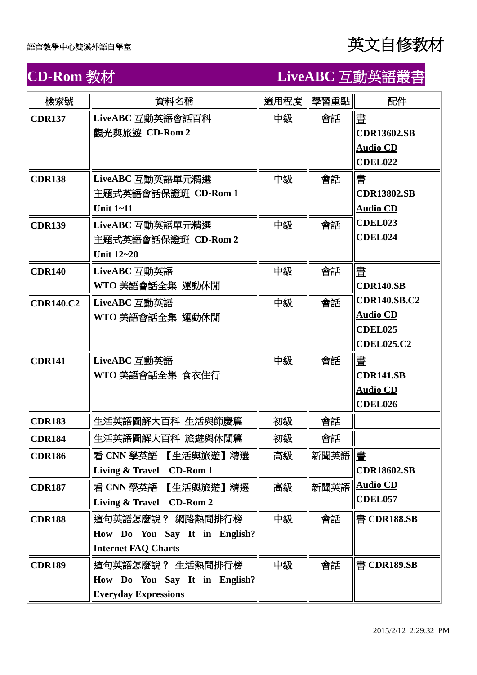| 檢索號              | 資料名稱                                                                             | 適用程度 | 學習重點            | 配件                                                                            |
|------------------|----------------------------------------------------------------------------------|------|-----------------|-------------------------------------------------------------------------------|
| <b>CDR137</b>    | LiveABC 互動英語會話百科<br>觀光與旅遊 CD-Rom 2                                               | 中級   | 會話              | 晝<br><b>CDR13602.SB</b><br><b>Audio CD</b><br><b>CDEL022</b>                  |
| <b>CDR138</b>    | LiveABC 互動英語單元精選<br>主題式英語會話保證班 CD-Rom 1<br>Unit $1 - 11$                         | 中級   | 會話              | 晝<br><b>CDR13802.SB</b><br><b>Audio CD</b>                                    |
| <b>CDR139</b>    | LiveABC 互動英語單元精選<br>主題式英語會話保證班 CD-Rom 2<br>Unit 12~20                            | 中級   | 會話              | CDEL023<br>CDEL024                                                            |
| <b>CDR140</b>    | LiveABC 互動英語<br>WTO 美語會話全集 運動休閒                                                  | 中級   | 會話              | 晝<br><b>CDR140.SB</b>                                                         |
| <b>CDR140.C2</b> | LiveABC 互動英語<br>WTO 美語會話全集 運動休閒                                                  | 中級   | 會話              | <b>CDR140.SB.C2</b><br><b>Audio CD</b><br><b>CDEL025</b><br><b>CDEL025.C2</b> |
| <b>CDR141</b>    | LiveABC 互動英語<br>WTO 美語會話全集 食衣住行                                                  | 中級   | 會話              | 畫<br><b>CDR141.SB</b><br><b>Audio CD</b><br><b>CDEL026</b>                    |
| <b>CDR183</b>    | 生活英語圖解大百科 生活與節慶篇                                                                 | 初級   | 會話              |                                                                               |
| <b>CDR184</b>    | 生活英語圖解大百科 旅遊與休閒篇                                                                 | 初級   | 會話              |                                                                               |
| <b>CDR186</b>    | 看 CNN 學英語 【生活與旅遊】精選<br>Living & Travel CD-Rom 1                                  | 高級   | 新聞英語   <u>書</u> | <b>CDR18602.SB</b>                                                            |
| <b>CDR187</b>    | 看 CNN 學英語 【生活與旅遊】精選<br>Living & Travel CD-Rom 2                                  | 高級   | 新聞英語            | <b>Audio CD</b><br><b>CDEL057</b>                                             |
| <b>CDR188</b>    | 這句英語怎麼說? 網路熱問排行榜<br>How Do You Say It in English?<br><b>Internet FAQ Charts</b>  | 中級   | 會話              | 書 CDR188.SB                                                                   |
| <b>CDR189</b>    | 這句英語怎麼說? 生活熱問排行榜<br>How Do You Say It in English?<br><b>Everyday Expressions</b> | 中級   | 會話              | 書 CDR189.SB                                                                   |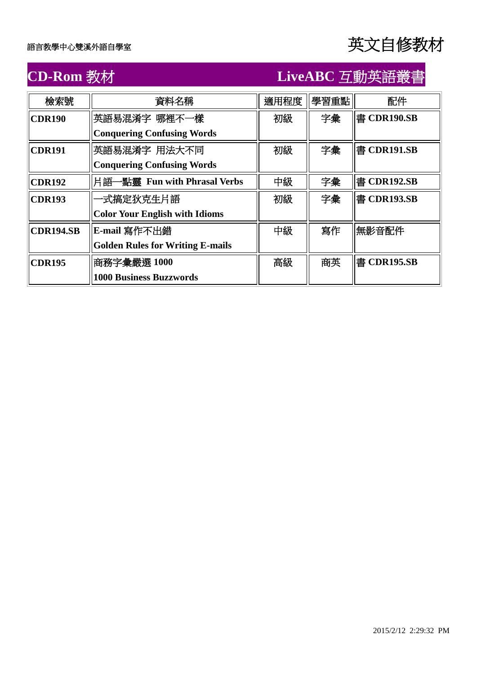| 檢索號              | 資料名稱                                    | 適用程度 | 學習重點 | 配件          |
|------------------|-----------------------------------------|------|------|-------------|
| <b>CDR190</b>    | 英語易混淆字 哪裡不一樣                            | 初級   | 字彙   | 書 CDR190.SB |
|                  | <b>Conquering Confusing Words</b>       |      |      |             |
| <b>CDR191</b>    | 英語易混淆字 用法大不同                            | 初級   | 字彙   | 書 CDR191.SB |
|                  | <b>Conquering Confusing Words</b>       |      |      |             |
| CDR192           | 片語一點靈 Fun with Phrasal Verbs            | 中級   | 字彙   | 書 CDR192.SB |
| <b>CDR193</b>    | −式搞定狄克生片語                               | 初級   | 字彙   | 書 CDR193.SB |
|                  | <b>Color Your English with Idioms</b>   |      |      |             |
| <b>CDR194.SB</b> | E-mail 寫作不出錯                            | 中級   | 寫作   | 無影音配件       |
|                  | <b>Golden Rules for Writing E-mails</b> |      |      |             |
| <b>CDR195</b>    | 商務字彙嚴選 1000                             | 高級   | 商英   | 書 CDR195.SB |
|                  | <b>1000 Business Buzzwords</b>          |      |      |             |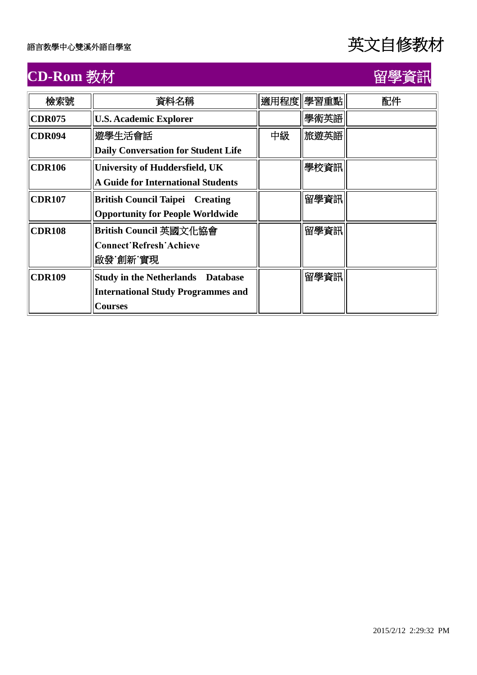# **CD-Rom** 教材 インタントリック インタントリック 留學資訊

| 檢索號           | 資料名稱                                       |    | 適用程度 學習重點 | 配件 |
|---------------|--------------------------------------------|----|-----------|----|
| <b>CDR075</b> | <b>U.S. Academic Explorer</b>              |    | 學術英語      |    |
| <b>CDR094</b> | 遊學生活會話                                     | 中級 | 旅遊英語      |    |
|               | <b>Daily Conversation for Student Life</b> |    |           |    |
| <b>CDR106</b> | <b>University of Huddersfield, UK</b>      |    | 學校資訊      |    |
|               | <b>A Guide for International Students</b>  |    |           |    |
| <b>CDR107</b> | <b>British Council Taipei Creating</b>     |    | 留學資訊      |    |
|               | <b>Opportunity for People Worldwide</b>    |    |           |    |
| <b>CDR108</b> | British Council 英國文化協會                     |    | 留學資訊      |    |
|               | <b>Connect Refresh Achieve</b>             |    |           |    |
|               | 啟發˙創新˙實現                                   |    |           |    |
| <b>CDR109</b> | <b>Study in the Netherlands Database</b>   |    | 留學資訊      |    |
|               | <b>International Study Programmes and</b>  |    |           |    |
|               | <b>Courses</b>                             |    |           |    |